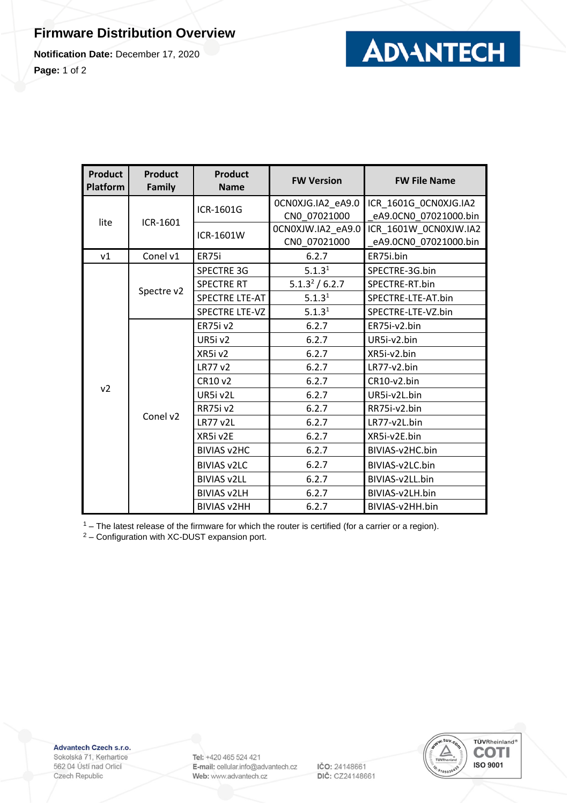## **Firmware Distribution Overview**

**Notification Date:** December 17, 2020

**Page:** 1 of 2



| <b>Product</b><br>Platform | <b>Product</b><br><b>Family</b> | <b>Product</b><br><b>Name</b> | <b>FW Version</b>                 | <b>FW File Name</b>                            |
|----------------------------|---------------------------------|-------------------------------|-----------------------------------|------------------------------------------------|
| lite                       | ICR-1601                        | ICR-1601G                     | OCNOXJG.IA2_eA9.0<br>CN0 07021000 | ICR_1601G_0CN0XJG.IA2<br>eA9.0CN0_07021000.bin |
|                            |                                 | ICR-1601W                     | 0CN0XJW.IA2_eA9.0<br>CN0_07021000 | ICR_1601W_0CN0XJW.IA2<br>eA9.0CN0_07021000.bin |
| v1                         | Conel v1                        | ER75i                         | 6.2.7                             | ER75i.bin                                      |
|                            | Spectre v2                      | <b>SPECTRE 3G</b>             | 5.1.3 <sup>1</sup>                | SPECTRE-3G.bin                                 |
| v <sub>2</sub>             |                                 | <b>SPECTRE RT</b>             | 5.1.3 <sup>2</sup> / 6.2.7        | SPECTRE-RT.bin                                 |
|                            |                                 | <b>SPECTRE LTE-AT</b>         | 5.1.3 <sup>1</sup>                | SPECTRE-LTE-AT.bin                             |
|                            |                                 | <b>SPECTRE LTE-VZ</b>         | 5.1.3 <sup>1</sup>                | SPECTRE-LTE-VZ.bin                             |
|                            | Conel v2                        | <b>ER75i v2</b>               | 6.2.7                             | ER75i-v2.bin                                   |
|                            |                                 | UR5iv2                        | 6.2.7                             | UR5i-v2.bin                                    |
|                            |                                 | XR5iv2                        | 6.2.7                             | XR5i-v2.bin                                    |
|                            |                                 | LR77 v2                       | 6.2.7                             | LR77-v2.bin                                    |
|                            |                                 | CR10 v2                       | 6.2.7                             | CR10-v2.bin                                    |
|                            |                                 | UR5i v2L                      | 6.2.7                             | UR5i-v2L.bin                                   |
|                            |                                 | <b>RR75i v2</b>               | 6.2.7                             | RR75i-v2.bin                                   |
|                            |                                 | <b>LR77 v2L</b>               | 6.2.7                             | LR77-v2L.bin                                   |
|                            |                                 | XR5i v2E                      | 6.2.7                             | XR5i-v2E.bin                                   |
|                            |                                 | <b>BIVIAS V2HC</b>            | 6.2.7                             | BIVIAS-v2HC.bin                                |
|                            |                                 | <b>BIVIAS v2LC</b>            | 6.2.7                             | BIVIAS-v2LC.bin                                |
|                            |                                 | <b>BIVIAS v2LL</b>            | 6.2.7                             | BIVIAS-v2LL.bin                                |
|                            |                                 | <b>BIVIAS v2LH</b>            | 6.2.7                             | BIVIAS-v2LH.bin                                |
|                            |                                 | <b>BIVIAS v2HH</b>            | 6.2.7                             | BIVIAS-v2HH.bin                                |

 $1 -$  The latest release of the firmware for which the router is certified (for a carrier or a region).

<sup>2</sup> – Configuration with XC-DUST expansion port.

Advantech Czech s.r.o.

Sokolská 71, Kerhartice 562 04 Ústí nad Orlicí Czech Republic

Tel: +420 465 524 421 E-mail: cellular.info@advantech.cz Web: www.advantech.cz

IČO: 24148661 DIČ: CZ24148661